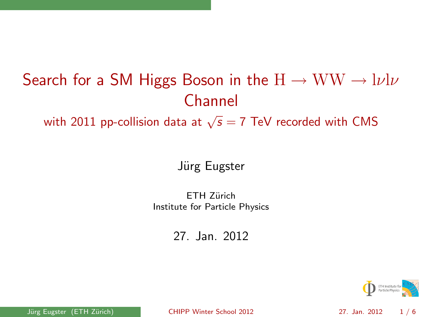# Search for a SM Higgs Boson in the  $H \to WW \to l\nu l\nu$ Channel

with 2011 pp-collision data at  $\sqrt{s}=7$  TeV recorded with CMS

#### Jürg Eugster

ETH Zürich Institute for Particle Physics

27. Jan. 2012

<span id="page-0-0"></span>

Jürg Eugster (ETH Zürich) [CHIPP Winter School 2012](#page-5-0) 27. Jan. 2012 1/6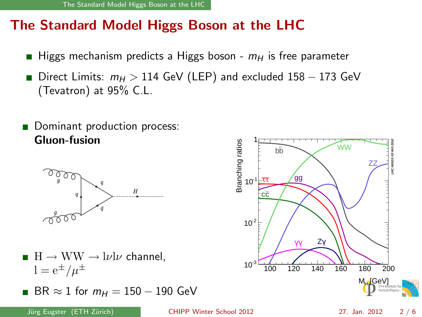## The Standard Model Higgs Boson at the LHC

- Higgs mechanism predicts a Higgs boson  $m_H$  is free parameter  $\blacksquare$
- Direct Limits:  $m_H > 114$  GeV (LEP) and excluded  $158 173$  GeV (Tevatron) at 95% C.L.
- Dominant production process: Gluon-fusion



- $H \to WW \to l\nu l\nu$  channel.  $1 = e^{\pm}/\mu^{\pm}$
- 



J¨urg Eugster (ETH Z¨urich) [CHIPP Winter School 2012](#page-0-0) 27. Jan. 2012 2 / 6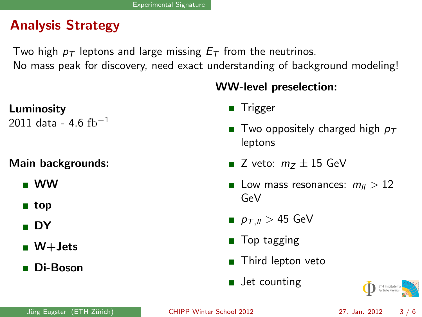# Analysis Strategy

Two high  $p_T$  leptons and large missing  $E_T$  from the neutrinos.

No mass peak for discovery, need exact understanding of background modeling!

#### WW-level preselection:

## Luminosity

2011 data - 4.6  $fb^{-1}$ 

#### Main backgrounds:

- WW
- $\blacksquare$  top
- DY
- $\blacksquare$  W+ Jets
- Di-Boson

#### **Trigger**

- Two oppositely charged high  $p_T$ leptons
- Z veto:  $m_Z \pm 15$  GeV
- **Low mass resonances:**  $m_{ll} > 12$ GeV
- $p_{T,||} > 45$  GeV
- **Top tagging**
- Third lepton veto
- **Jet counting**



J¨urg Eugster (ETH Z¨urich) [CHIPP Winter School 2012](#page-0-0) 27. Jan. 2012 3 / 6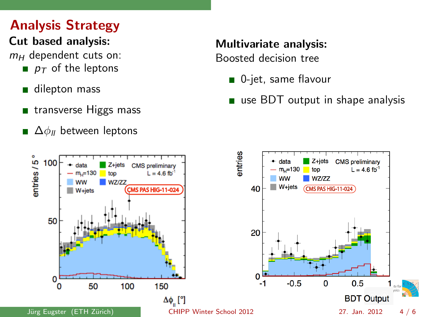# Analysis Strategy

#### Cut based analysis:

 $m_H$  dependent cuts on:

- $p_{\tau}$  of the leptons
- dilepton mass
- transverse Higgs mass
- $\blacksquare$   $\Delta\phi_{ll}$  between leptons

# Multivariate analysis:

Boosted decision tree

- 0-jet, same flavour
- use BDT output in shape analysis

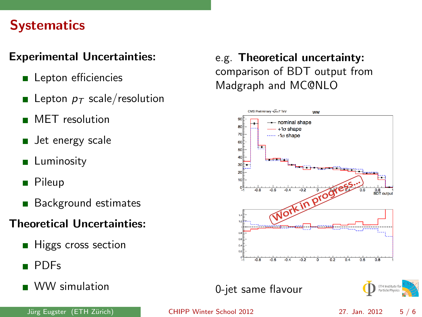#### **Systematics**

#### Experimental Uncertainties:

- **Lepton efficiencies**
- **Lepton**  $p_T$  scale/resolution
- **MET** resolution
- **Jet energy scale**
- **Luminosity**
- Pileup
- Background estimates

#### Theoretical Uncertainties:

- **Higgs cross section**
- PDFs
- WW simulation

#### e.g. Theoretical uncertainty: comparison of BDT output from Madgraph and MC@NLO



#### 0-jet same flavour



#### J¨urg Eugster (ETH Z¨urich) [CHIPP Winter School 2012](#page-0-0) 27. Jan. 2012 5 / 6